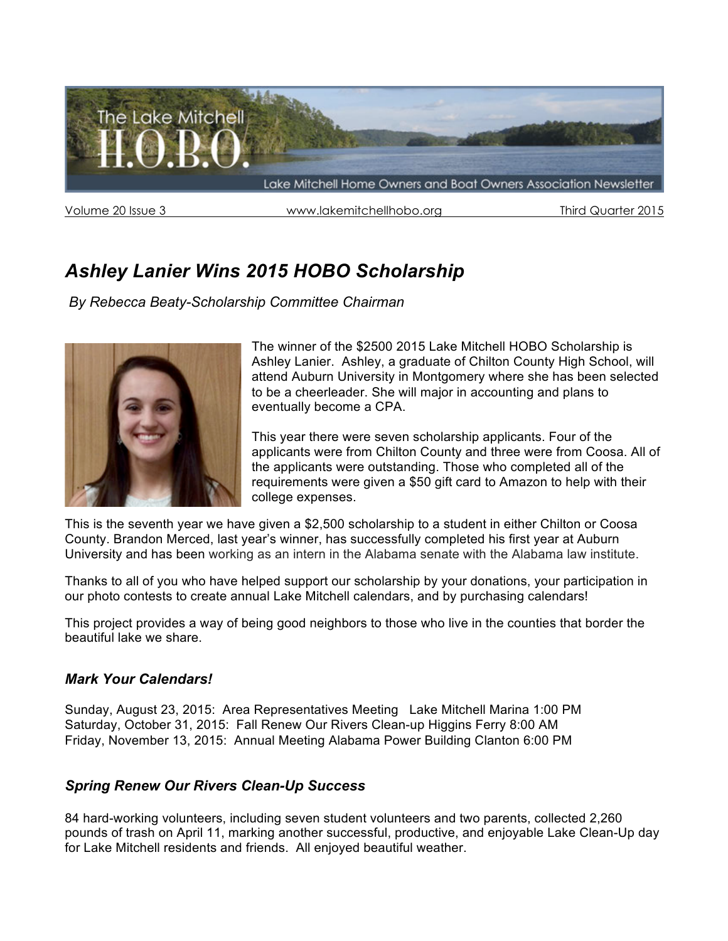

Volume 20 Issue 3 www.lakemitchellhobo.org Third Quarter 2015

# *Ashley Lanier Wins 2015 HOBO Scholarship*

*By Rebecca Beaty-Scholarship Committee Chairman*



The winner of the \$2500 2015 Lake Mitchell HOBO Scholarship is Ashley Lanier. Ashley, a graduate of Chilton County High School, will attend Auburn University in Montgomery where she has been selected to be a cheerleader. She will major in accounting and plans to eventually become a CPA.

This year there were seven scholarship applicants. Four of the applicants were from Chilton County and three were from Coosa. All of the applicants were outstanding. Those who completed all of the requirements were given a \$50 gift card to Amazon to help with their college expenses.

This is the seventh year we have given a \$2,500 scholarship to a student in either Chilton or Coosa County. Brandon Merced, last year's winner, has successfully completed his first year at Auburn University and has been working as an intern in the Alabama senate with the Alabama law institute.

Thanks to all of you who have helped support our scholarship by your donations, your participation in our photo contests to create annual Lake Mitchell calendars, and by purchasing calendars!

This project provides a way of being good neighbors to those who live in the counties that border the beautiful lake we share.

# *Mark Your Calendars!*

Sunday, August 23, 2015: Area Representatives Meeting Lake Mitchell Marina 1:00 PM Saturday, October 31, 2015: Fall Renew Our Rivers Clean-up Higgins Ferry 8:00 AM Friday, November 13, 2015: Annual Meeting Alabama Power Building Clanton 6:00 PM

# *Spring Renew Our Rivers Clean-Up Success*

84 hard-working volunteers, including seven student volunteers and two parents, collected 2,260 pounds of trash on April 11, marking another successful, productive, and enjoyable Lake Clean-Up day for Lake Mitchell residents and friends. All enjoyed beautiful weather.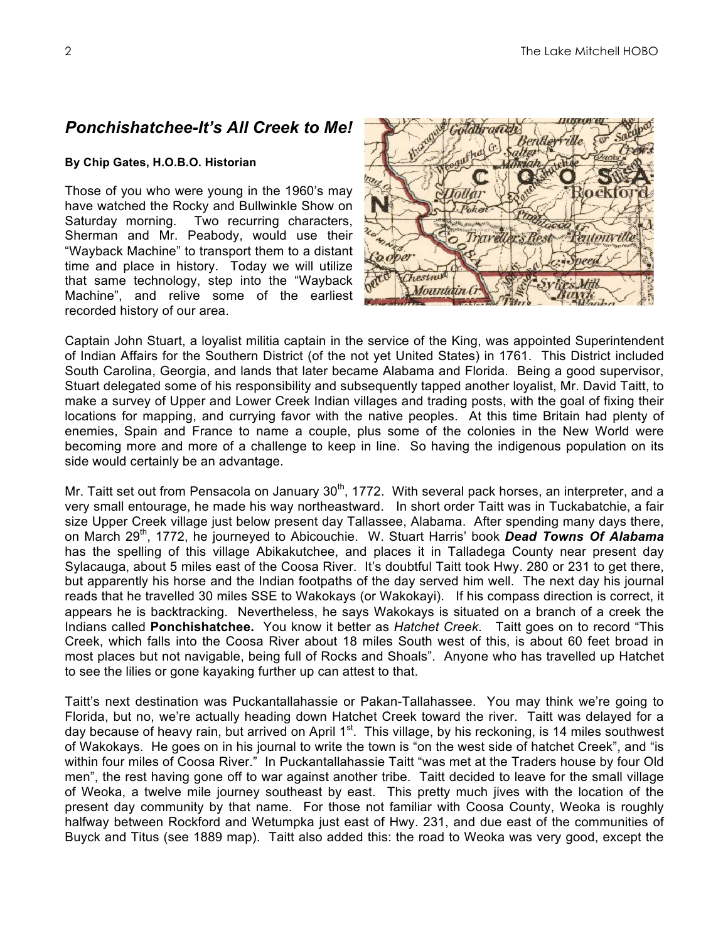# *Ponchishatchee-It's All Creek to Me!*

### **By Chip Gates, H.O.B.O. Historian**

Those of you who were young in the 1960's may have watched the Rocky and Bullwinkle Show on Saturday morning. Two recurring characters, Sherman and Mr. Peabody, would use their "Wayback Machine" to transport them to a distant time and place in history. Today we will utilize that same technology, step into the "Wayback Machine", and relive some of the earliest recorded history of our area.



Captain John Stuart, a loyalist militia captain in the service of the King, was appointed Superintendent of Indian Affairs for the Southern District (of the not yet United States) in 1761. This District included South Carolina, Georgia, and lands that later became Alabama and Florida. Being a good supervisor, Stuart delegated some of his responsibility and subsequently tapped another loyalist, Mr. David Taitt, to make a survey of Upper and Lower Creek Indian villages and trading posts, with the goal of fixing their locations for mapping, and currying favor with the native peoples. At this time Britain had plenty of enemies, Spain and France to name a couple, plus some of the colonies in the New World were becoming more and more of a challenge to keep in line. So having the indigenous population on its side would certainly be an advantage.

Mr. Taitt set out from Pensacola on January  $30<sup>th</sup>$ , 1772. With several pack horses, an interpreter, and a very small entourage, he made his way northeastward. In short order Taitt was in Tuckabatchie, a fair size Upper Creek village just below present day Tallassee, Alabama. After spending many days there, on March 29<sup>th</sup>, 1772, he journeyed to Abicouchie. W. Stuart Harris' book **Dead Towns Of Alabama** has the spelling of this village Abikakutchee, and places it in Talladega County near present day Sylacauga, about 5 miles east of the Coosa River. It's doubtful Taitt took Hwy. 280 or 231 to get there, but apparently his horse and the Indian footpaths of the day served him well. The next day his journal reads that he travelled 30 miles SSE to Wakokays (or Wakokayi). If his compass direction is correct, it appears he is backtracking. Nevertheless, he says Wakokays is situated on a branch of a creek the Indians called **Ponchishatchee.** You know it better as *Hatchet Creek*. Taitt goes on to record "This Creek, which falls into the Coosa River about 18 miles South west of this, is about 60 feet broad in most places but not navigable, being full of Rocks and Shoals". Anyone who has travelled up Hatchet to see the lilies or gone kayaking further up can attest to that.

Taitt's next destination was Puckantallahassie or Pakan-Tallahassee. You may think we're going to Florida, but no, we're actually heading down Hatchet Creek toward the river. Taitt was delayed for a day because of heavy rain, but arrived on April  $1<sup>st</sup>$ . This village, by his reckoning, is 14 miles southwest of Wakokays. He goes on in his journal to write the town is "on the west side of hatchet Creek", and "is within four miles of Coosa River." In Puckantallahassie Taitt "was met at the Traders house by four Old men", the rest having gone off to war against another tribe. Taitt decided to leave for the small village of Weoka, a twelve mile journey southeast by east. This pretty much jives with the location of the present day community by that name. For those not familiar with Coosa County, Weoka is roughly halfway between Rockford and Wetumpka just east of Hwy. 231, and due east of the communities of Buyck and Titus (see 1889 map). Taitt also added this: the road to Weoka was very good, except the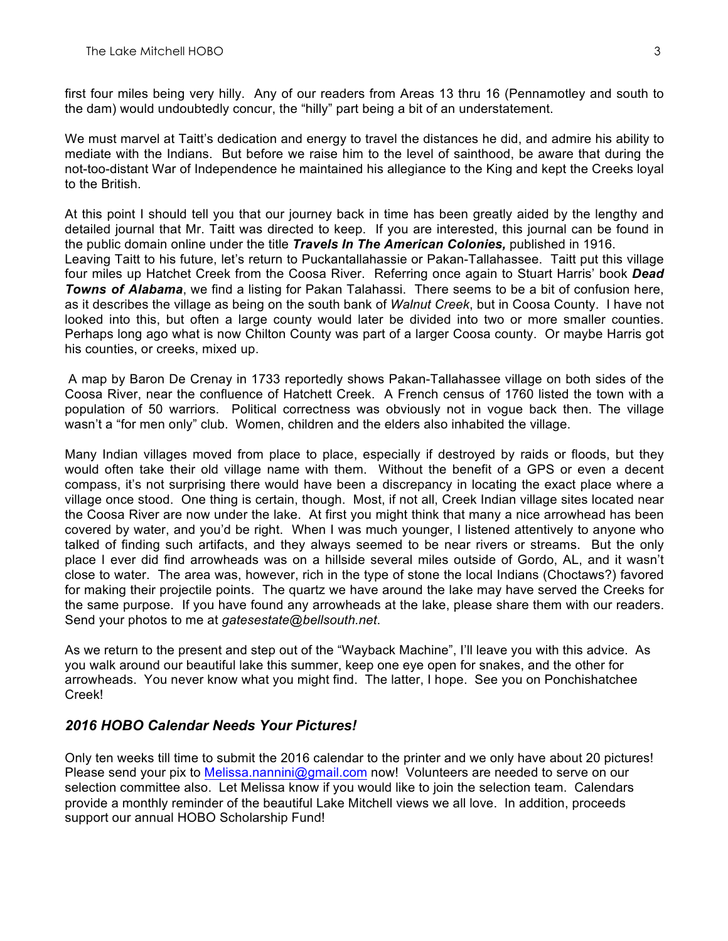first four miles being very hilly. Any of our readers from Areas 13 thru 16 (Pennamotley and south to the dam) would undoubtedly concur, the "hilly" part being a bit of an understatement.

We must marvel at Taitt's dedication and energy to travel the distances he did, and admire his ability to mediate with the Indians. But before we raise him to the level of sainthood, be aware that during the not-too-distant War of Independence he maintained his allegiance to the King and kept the Creeks loyal to the British.

At this point I should tell you that our journey back in time has been greatly aided by the lengthy and detailed journal that Mr. Taitt was directed to keep. If you are interested, this journal can be found in the public domain online under the title *Travels In The American Colonies,* published in 1916. Leaving Taitt to his future, let's return to Puckantallahassie or Pakan-Tallahassee. Taitt put this village four miles up Hatchet Creek from the Coosa River. Referring once again to Stuart Harris' book *Dead Towns of Alabama*, we find a listing for Pakan Talahassi. There seems to be a bit of confusion here, as it describes the village as being on the south bank of *Walnut Creek*, but in Coosa County. I have not looked into this, but often a large county would later be divided into two or more smaller counties. Perhaps long ago what is now Chilton County was part of a larger Coosa county. Or maybe Harris got his counties, or creeks, mixed up.

A map by Baron De Crenay in 1733 reportedly shows Pakan-Tallahassee village on both sides of the Coosa River, near the confluence of Hatchett Creek. A French census of 1760 listed the town with a population of 50 warriors. Political correctness was obviously not in vogue back then. The village wasn't a "for men only" club. Women, children and the elders also inhabited the village.

Many Indian villages moved from place to place, especially if destroyed by raids or floods, but they would often take their old village name with them. Without the benefit of a GPS or even a decent compass, it's not surprising there would have been a discrepancy in locating the exact place where a village once stood. One thing is certain, though. Most, if not all, Creek Indian village sites located near the Coosa River are now under the lake. At first you might think that many a nice arrowhead has been covered by water, and you'd be right. When I was much younger, I listened attentively to anyone who talked of finding such artifacts, and they always seemed to be near rivers or streams. But the only place I ever did find arrowheads was on a hillside several miles outside of Gordo, AL, and it wasn't close to water. The area was, however, rich in the type of stone the local Indians (Choctaws?) favored for making their projectile points. The quartz we have around the lake may have served the Creeks for the same purpose. If you have found any arrowheads at the lake, please share them with our readers. Send your photos to me at *gatesestate@bellsouth.net*.

As we return to the present and step out of the "Wayback Machine", I'll leave you with this advice. As you walk around our beautiful lake this summer, keep one eye open for snakes, and the other for arrowheads. You never know what you might find. The latter, I hope. See you on Ponchishatchee Creek!

# *2016 HOBO Calendar Needs Your Pictures!*

Only ten weeks till time to submit the 2016 calendar to the printer and we only have about 20 pictures! Please send your pix to Melissa.nannini@gmail.com now! Volunteers are needed to serve on our selection committee also. Let Melissa know if you would like to join the selection team. Calendars provide a monthly reminder of the beautiful Lake Mitchell views we all love. In addition, proceeds support our annual HOBO Scholarship Fund!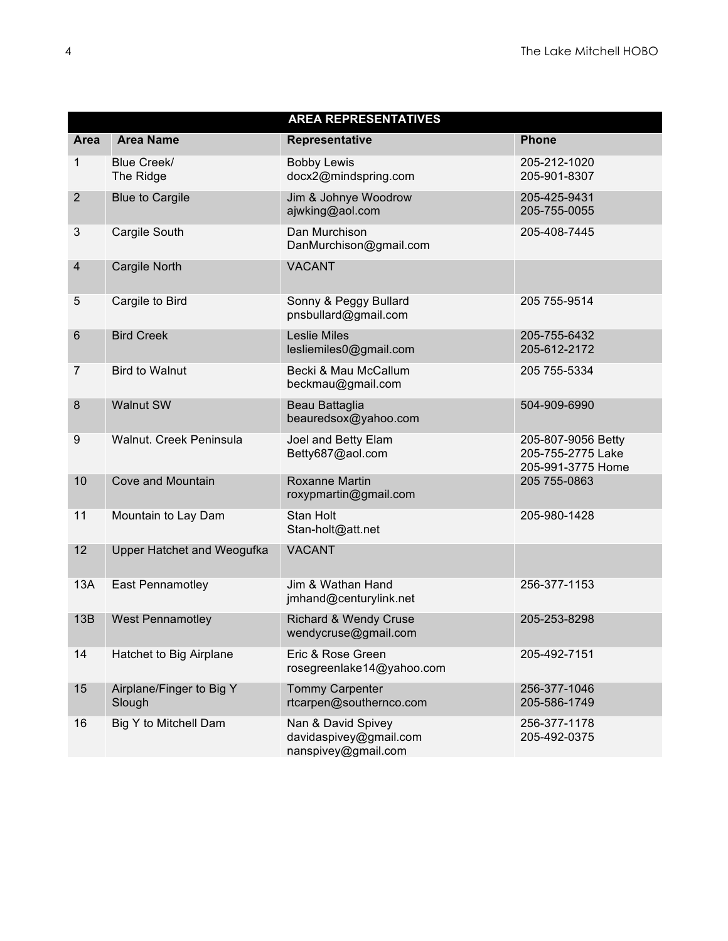| <b>AREA REPRESENTATIVES</b> |                                    |                                                                     |                                                              |  |  |  |
|-----------------------------|------------------------------------|---------------------------------------------------------------------|--------------------------------------------------------------|--|--|--|
| Area                        | <b>Area Name</b>                   | Representative                                                      | <b>Phone</b>                                                 |  |  |  |
| 1                           | Blue Creek/<br>The Ridge           | <b>Bobby Lewis</b><br>docx2@mindspring.com                          | 205-212-1020<br>205-901-8307                                 |  |  |  |
| $\overline{2}$              | <b>Blue to Cargile</b>             | Jim & Johnye Woodrow<br>ajwking@aol.com                             | 205-425-9431<br>205-755-0055                                 |  |  |  |
| $\mathfrak{S}$              | Cargile South                      | Dan Murchison<br>DanMurchison@gmail.com                             | 205-408-7445                                                 |  |  |  |
| 4                           | Cargile North                      | <b>VACANT</b>                                                       |                                                              |  |  |  |
| 5                           | Cargile to Bird                    | Sonny & Peggy Bullard<br>pnsbullard@gmail.com                       | 205 755-9514                                                 |  |  |  |
| 6                           | <b>Bird Creek</b>                  | <b>Leslie Miles</b><br>lesliemiles0@gmail.com                       | 205-755-6432<br>205-612-2172                                 |  |  |  |
| $\overline{7}$              | <b>Bird to Walnut</b>              | Becki & Mau McCallum<br>beckmau@gmail.com                           | 205 755-5334                                                 |  |  |  |
| 8                           | <b>Walnut SW</b>                   | Beau Battaglia<br>beauredsox@yahoo.com                              | 504-909-6990                                                 |  |  |  |
| 9                           | Walnut. Creek Peninsula            | Joel and Betty Elam<br>Betty687@aol.com                             | 205-807-9056 Betty<br>205-755-2775 Lake<br>205-991-3775 Home |  |  |  |
| 10                          | Cove and Mountain                  | <b>Roxanne Martin</b><br>roxypmartin@gmail.com                      | 205 755-0863                                                 |  |  |  |
| 11                          | Mountain to Lay Dam                | <b>Stan Holt</b><br>Stan-holt@att.net                               | 205-980-1428                                                 |  |  |  |
| 12                          | Upper Hatchet and Weogufka         | <b>VACANT</b>                                                       |                                                              |  |  |  |
| 13A                         | East Pennamotley                   | Jim & Wathan Hand<br>jmhand@centurylink.net                         | 256-377-1153                                                 |  |  |  |
| 13B                         | <b>West Pennamotley</b>            | Richard & Wendy Cruse<br>wendycruse@gmail.com                       | 205-253-8298                                                 |  |  |  |
| 14                          | Hatchet to Big Airplane            | Eric & Rose Green<br>rosegreenlake14@yahoo.com                      | 205-492-7151                                                 |  |  |  |
| 15                          | Airplane/Finger to Big Y<br>Slough | <b>Tommy Carpenter</b><br>rtcarpen@southernco.com                   | 256-377-1046<br>205-586-1749                                 |  |  |  |
| 16                          | Big Y to Mitchell Dam              | Nan & David Spivey<br>davidaspivey@gmail.com<br>nanspivey@gmail.com | 256-377-1178<br>205-492-0375                                 |  |  |  |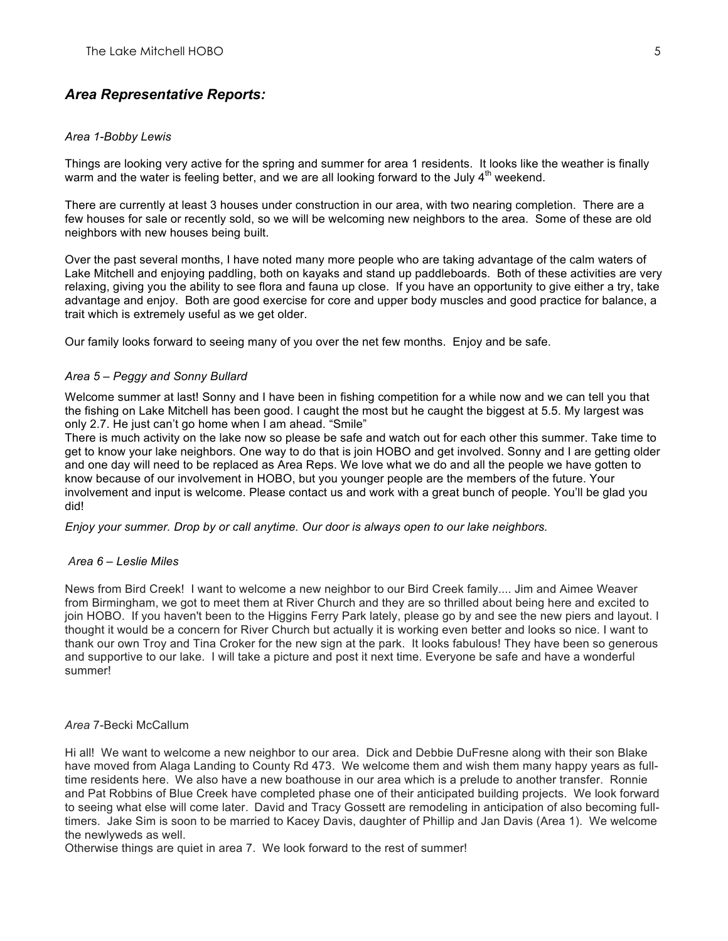# *Area Representative Reports:*

#### *Area 1-Bobby Lewis*

Things are looking very active for the spring and summer for area 1 residents. It looks like the weather is finally warm and the water is feeling better, and we are all looking forward to the July  $4<sup>th</sup>$  weekend.

There are currently at least 3 houses under construction in our area, with two nearing completion. There are a few houses for sale or recently sold, so we will be welcoming new neighbors to the area. Some of these are old neighbors with new houses being built.

Over the past several months, I have noted many more people who are taking advantage of the calm waters of Lake Mitchell and enjoying paddling, both on kayaks and stand up paddleboards. Both of these activities are very relaxing, giving you the ability to see flora and fauna up close. If you have an opportunity to give either a try, take advantage and enjoy. Both are good exercise for core and upper body muscles and good practice for balance, a trait which is extremely useful as we get older.

Our family looks forward to seeing many of you over the net few months. Enjoy and be safe.

#### *Area 5 – Peggy and Sonny Bullard*

Welcome summer at last! Sonny and I have been in fishing competition for a while now and we can tell you that the fishing on Lake Mitchell has been good. I caught the most but he caught the biggest at 5.5. My largest was only 2.7. He just can't go home when I am ahead. "Smile"

There is much activity on the lake now so please be safe and watch out for each other this summer. Take time to get to know your lake neighbors. One way to do that is join HOBO and get involved. Sonny and I are getting older and one day will need to be replaced as Area Reps. We love what we do and all the people we have gotten to know because of our involvement in HOBO, but you younger people are the members of the future. Your involvement and input is welcome. Please contact us and work with a great bunch of people. You'll be glad you did!

*Enjoy your summer. Drop by or call anytime. Our door is always open to our lake neighbors.*

#### *Area 6 – Leslie Miles*

News from Bird Creek! I want to welcome a new neighbor to our Bird Creek family.... Jim and Aimee Weaver from Birmingham, we got to meet them at River Church and they are so thrilled about being here and excited to join HOBO. If you haven't been to the Higgins Ferry Park lately, please go by and see the new piers and layout. I thought it would be a concern for River Church but actually it is working even better and looks so nice. I want to thank our own Troy and Tina Croker for the new sign at the park. It looks fabulous! They have been so generous and supportive to our lake. I will take a picture and post it next time. Everyone be safe and have a wonderful summer!

#### *Area* 7-Becki McCallum

Hi all! We want to welcome a new neighbor to our area. Dick and Debbie DuFresne along with their son Blake have moved from Alaga Landing to County Rd 473. We welcome them and wish them many happy years as fulltime residents here. We also have a new boathouse in our area which is a prelude to another transfer. Ronnie and Pat Robbins of Blue Creek have completed phase one of their anticipated building projects. We look forward to seeing what else will come later. David and Tracy Gossett are remodeling in anticipation of also becoming fulltimers. Jake Sim is soon to be married to Kacey Davis, daughter of Phillip and Jan Davis (Area 1). We welcome the newlyweds as well.

Otherwise things are quiet in area 7. We look forward to the rest of summer!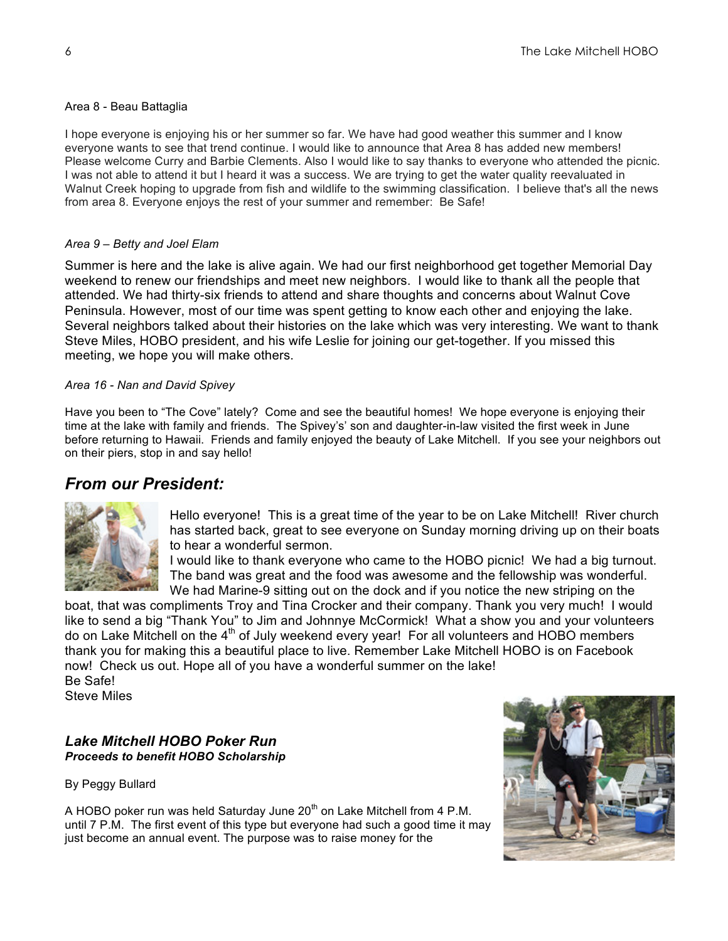## Area 8 - Beau Battaglia

I hope everyone is enjoying his or her summer so far. We have had good weather this summer and I know everyone wants to see that trend continue. I would like to announce that Area 8 has added new members! Please welcome Curry and Barbie Clements. Also I would like to say thanks to everyone who attended the picnic. I was not able to attend it but I heard it was a success. We are trying to get the water quality reevaluated in Walnut Creek hoping to upgrade from fish and wildlife to the swimming classification. I believe that's all the news from area 8. Everyone enjoys the rest of your summer and remember: Be Safe!

## *Area 9 – Betty and Joel Elam*

Summer is here and the lake is alive again. We had our first neighborhood get together Memorial Day weekend to renew our friendships and meet new neighbors. I would like to thank all the people that attended. We had thirty-six friends to attend and share thoughts and concerns about Walnut Cove Peninsula. However, most of our time was spent getting to know each other and enjoying the lake. Several neighbors talked about their histories on the lake which was very interesting. We want to thank Steve Miles, HOBO president, and his wife Leslie for joining our get-together. If you missed this meeting, we hope you will make others.

## *Area 16 - Nan and David Spivey*

Have you been to "The Cove" lately? Come and see the beautiful homes! We hope everyone is enjoying their time at the lake with family and friends. The Spivey's' son and daughter-in-law visited the first week in June before returning to Hawaii. Friends and family enjoyed the beauty of Lake Mitchell. If you see your neighbors out on their piers, stop in and say hello!

# *From our President:*



Hello everyone! This is a great time of the year to be on Lake Mitchell! River church has started back, great to see everyone on Sunday morning driving up on their boats to hear a wonderful sermon.

I would like to thank everyone who came to the HOBO picnic! We had a big turnout. The band was great and the food was awesome and the fellowship was wonderful. We had Marine-9 sitting out on the dock and if you notice the new striping on the

boat, that was compliments Troy and Tina Crocker and their company. Thank you very much! I would like to send a big "Thank You" to Jim and Johnnye McCormick! What a show you and your volunteers do on Lake Mitchell on the  $4<sup>th</sup>$  of July weekend every year! For all volunteers and HOBO members thank you for making this a beautiful place to live. Remember Lake Mitchell HOBO is on Facebook now! Check us out. Hope all of you have a wonderful summer on the lake! Be Safe!

Steve Miles

# *Lake Mitchell HOBO Poker Run Proceeds to benefit HOBO Scholarship*

By Peggy Bullard

A HOBO poker run was held Saturday June  $20<sup>th</sup>$  on Lake Mitchell from 4 P.M. until 7 P.M. The first event of this type but everyone had such a good time it may just become an annual event. The purpose was to raise money for the

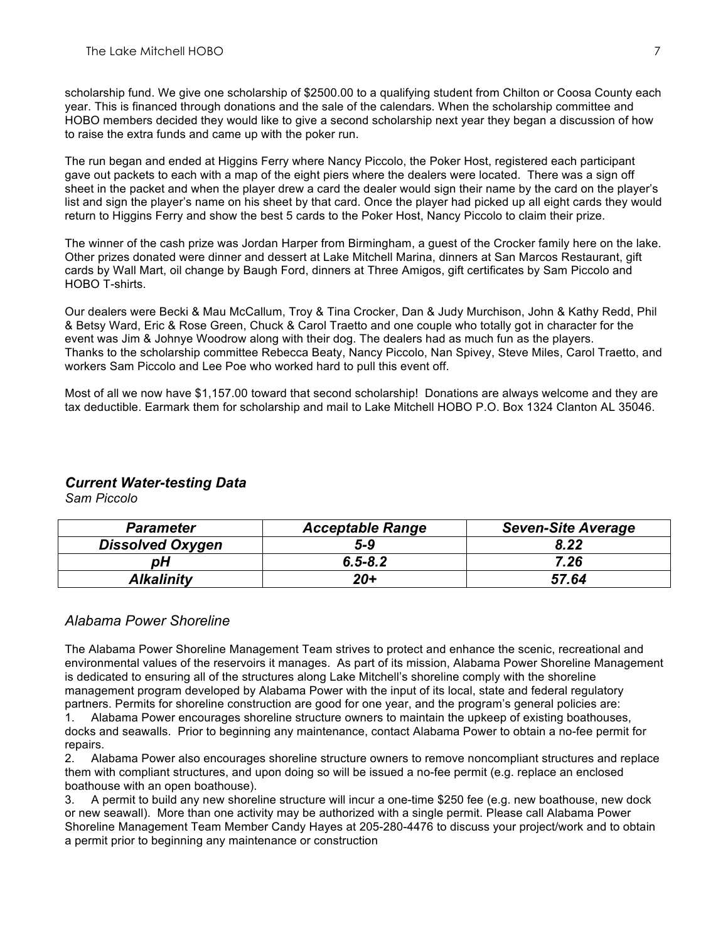scholarship fund. We give one scholarship of \$2500.00 to a qualifying student from Chilton or Coosa County each year. This is financed through donations and the sale of the calendars. When the scholarship committee and HOBO members decided they would like to give a second scholarship next year they began a discussion of how to raise the extra funds and came up with the poker run.

The run began and ended at Higgins Ferry where Nancy Piccolo, the Poker Host, registered each participant gave out packets to each with a map of the eight piers where the dealers were located. There was a sign off sheet in the packet and when the player drew a card the dealer would sign their name by the card on the player's list and sign the player's name on his sheet by that card. Once the player had picked up all eight cards they would return to Higgins Ferry and show the best 5 cards to the Poker Host, Nancy Piccolo to claim their prize.

The winner of the cash prize was Jordan Harper from Birmingham, a guest of the Crocker family here on the lake. Other prizes donated were dinner and dessert at Lake Mitchell Marina, dinners at San Marcos Restaurant, gift cards by Wall Mart, oil change by Baugh Ford, dinners at Three Amigos, gift certificates by Sam Piccolo and HOBO T-shirts.

Our dealers were Becki & Mau McCallum, Troy & Tina Crocker, Dan & Judy Murchison, John & Kathy Redd, Phil & Betsy Ward, Eric & Rose Green, Chuck & Carol Traetto and one couple who totally got in character for the event was Jim & Johnye Woodrow along with their dog. The dealers had as much fun as the players. Thanks to the scholarship committee Rebecca Beaty, Nancy Piccolo, Nan Spivey, Steve Miles, Carol Traetto, and workers Sam Piccolo and Lee Poe who worked hard to pull this event off.

Most of all we now have \$1,157.00 toward that second scholarship! Donations are always welcome and they are tax deductible. Earmark them for scholarship and mail to Lake Mitchell HOBO P.O. Box 1324 Clanton AL 35046.

# *Current Water-testing Data*

*Sam Piccolo*

| <b>Parameter</b>        | <b>Acceptable Range</b> | <b>Seven-Site Average</b> |
|-------------------------|-------------------------|---------------------------|
| <b>Dissolved Oxygen</b> | $5-9$                   | 8.22                      |
| pН                      | $6, 5 - 8, 2$           | 7.26                      |
| Alkalinitv              | $20 +$                  | 57.64                     |

## *Alabama Power Shoreline*

The Alabama Power Shoreline Management Team strives to protect and enhance the scenic, recreational and environmental values of the reservoirs it manages. As part of its mission, Alabama Power Shoreline Management is dedicated to ensuring all of the structures along Lake Mitchell's shoreline comply with the shoreline management program developed by Alabama Power with the input of its local, state and federal regulatory partners. Permits for shoreline construction are good for one year, and the program's general policies are:

1. Alabama Power encourages shoreline structure owners to maintain the upkeep of existing boathouses, docks and seawalls. Prior to beginning any maintenance, contact Alabama Power to obtain a no-fee permit for repairs.

2. Alabama Power also encourages shoreline structure owners to remove noncompliant structures and replace them with compliant structures, and upon doing so will be issued a no-fee permit (e.g. replace an enclosed boathouse with an open boathouse).

3. A permit to build any new shoreline structure will incur a one-time \$250 fee (e.g. new boathouse, new dock or new seawall). More than one activity may be authorized with a single permit. Please call Alabama Power Shoreline Management Team Member Candy Hayes at 205-280-4476 to discuss your project/work and to obtain a permit prior to beginning any maintenance or construction